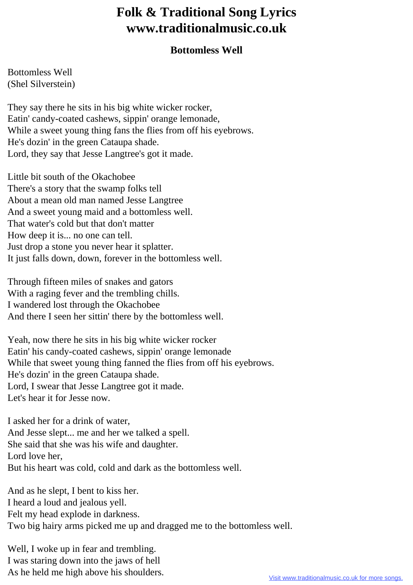## **Folk & Traditional Song Lyrics www.traditionalmusic.co.uk**

## **Bottomless Well**

Bottomless Well (Shel Silverstein)

They say there he sits in his big white wicker rocker, Eatin' candy-coated cashews, sippin' orange lemonade, While a sweet young thing fans the flies from off his eyebrows. He's dozin' in the green Cataupa shade. Lord, they say that Jesse Langtree's got it made.

Little bit south of the Okachobee There's a story that the swamp folks tell About a mean old man named Jesse Langtree And a sweet young maid and a bottomless well. That water's cold but that don't matter How deep it is... no one can tell. Just drop a stone you never hear it splatter. It just falls down, down, forever in the bottomless well.

Through fifteen miles of snakes and gators With a raging fever and the trembling chills. I wandered lost through the Okachobee And there I seen her sittin' there by the bottomless well.

Yeah, now there he sits in his big white wicker rocker Eatin' his candy-coated cashews, sippin' orange lemonade While that sweet young thing fanned the flies from off his eyebrows. He's dozin' in the green Cataupa shade. Lord, I swear that Jesse Langtree got it made. Let's hear it for Jesse now.

I asked her for a drink of water, And Jesse slept... me and her we talked a spell. She said that she was his wife and daughter. Lord love her, But his heart was cold, cold and dark as the bottomless well.

And as he slept, I bent to kiss her. I heard a loud and jealous yell. Felt my head explode in darkness. Two big hairy arms picked me up and dragged me to the bottomless well.

Well, I woke up in fear and trembling. I was staring down into the jaws of hell As he held me high above his shoulders.